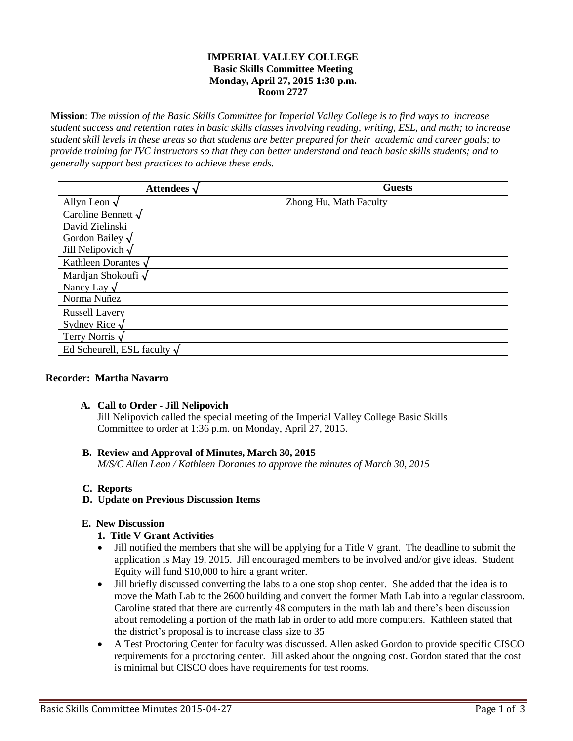## **IMPERIAL VALLEY COLLEGE Basic Skills Committee Meeting Monday, April 27, 2015 1:30 p.m. Room 2727**

**Mission**: *The mission of the Basic Skills Committee for Imperial Valley College is to find ways to increase student success and retention rates in basic skills classes involving reading, writing, ESL, and math; to increase student skill levels in these areas so that students are better prepared for their academic and career goals; to provide training for IVC instructors so that they can better understand and teach basic skills students; and to generally support best practices to achieve these ends.*

| Attendees $\sqrt$                 | <b>Guests</b>          |
|-----------------------------------|------------------------|
| Allyn Leon $\sqrt$                | Zhong Hu, Math Faculty |
| Caroline Bennett $\sqrt$          |                        |
| David Zielinski                   |                        |
| Gordon Bailey $\sqrt$             |                        |
| Jill Nelipovich $\sqrt$           |                        |
| Kathleen Dorantes $\sqrt$         |                        |
| Mardjan Shokoufi √                |                        |
| Nancy Lay $\sqrt$                 |                        |
| Norma Nuñez                       |                        |
| <b>Russell Lavery</b>             |                        |
| Sydney Rice $\sqrt$               |                        |
| Terry Norris $\sqrt$              |                        |
| Ed Scheurell, ESL faculty $\sqrt$ |                        |

### **Recorder: Martha Navarro**

### **A. Call to Order - Jill Nelipovich**

Jill Nelipovich called the special meeting of the Imperial Valley College Basic Skills Committee to order at 1:36 p.m. on Monday, April 27, 2015.

# **B. Review and Approval of Minutes, March 30, 2015**

*M/S/C Allen Leon / Kathleen Dorantes to approve the minutes of March 30, 2015*

### **C. Reports**

### **D. Update on Previous Discussion Items**

### **E. New Discussion**

## **1. Title V Grant Activities**

- Jill notified the members that she will be applying for a Title V grant. The deadline to submit the application is May 19, 2015. Jill encouraged members to be involved and/or give ideas. Student Equity will fund \$10,000 to hire a grant writer.
- Jill briefly discussed converting the labs to a one stop shop center. She added that the idea is to move the Math Lab to the 2600 building and convert the former Math Lab into a regular classroom. Caroline stated that there are currently 48 computers in the math lab and there's been discussion about remodeling a portion of the math lab in order to add more computers. Kathleen stated that the district's proposal is to increase class size to 35
- A Test Proctoring Center for faculty was discussed. Allen asked Gordon to provide specific CISCO requirements for a proctoring center. Jill asked about the ongoing cost. Gordon stated that the cost is minimal but CISCO does have requirements for test rooms.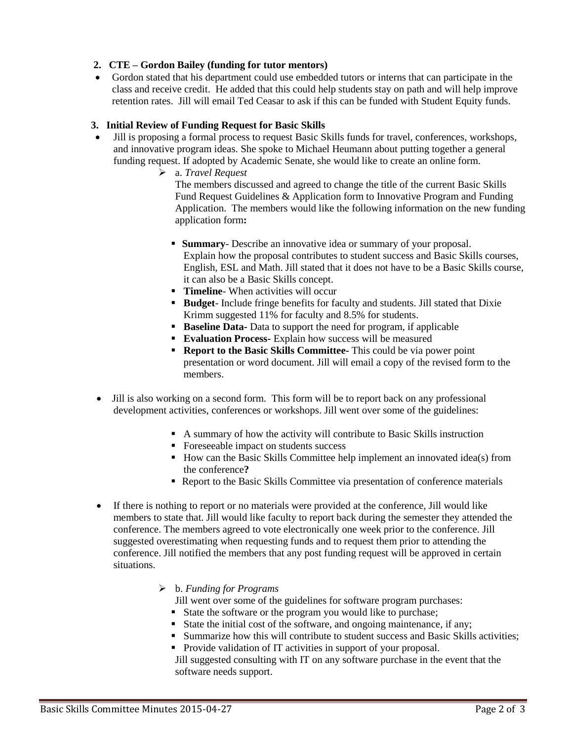# **2. CTE – Gordon Bailey (funding for tutor mentors)**

 Gordon stated that his department could use embedded tutors or interns that can participate in the class and receive credit. He added that this could help students stay on path and will help improve retention rates. Jill will email Ted Ceasar to ask if this can be funded with Student Equity funds.

## **3. Initial Review of Funding Request for Basic Skills**

- Jill is proposing a formal process to request Basic Skills funds for travel, conferences, workshops, and innovative program ideas. She spoke to Michael Heumann about putting together a general funding request. If adopted by Academic Senate, she would like to create an online form.
	- a. *Travel Request*

The members discussed and agreed to change the title of the current Basic Skills Fund Request Guidelines & Application form to Innovative Program and Funding Application. The members would like the following information on the new funding application form**:**

- **Summary** Describe an innovative idea or summary of your proposal. Explain how the proposal contributes to student success and Basic Skills courses, English, ESL and Math. Jill stated that it does not have to be a Basic Skills course, it can also be a Basic Skills concept.
- **Timeline** When activities will occur
- **Budget** Include fringe benefits for faculty and students. Jill stated that Dixie Krimm suggested 11% for faculty and 8.5% for students.
- **Baseline Data-** Data to support the need for program, if applicable
- **Evaluation Process-** Explain how success will be measured
- **Report to the Basic Skills Committee-** This could be via power point presentation or word document. Jill will email a copy of the revised form to the members.
- Jill is also working on a second form. This form will be to report back on any professional development activities, conferences or workshops. Jill went over some of the guidelines:
	- A summary of how the activity will contribute to Basic Skills instruction
	- Foreseeable impact on students success
	- How can the Basic Skills Committee help implement an innovated idea(s) from the conference**?**
	- Report to the Basic Skills Committee via presentation of conference materials
- If there is nothing to report or no materials were provided at the conference, Jill would like members to state that. Jill would like faculty to report back during the semester they attended the conference. The members agreed to vote electronically one week prior to the conference. Jill suggested overestimating when requesting funds and to request them prior to attending the conference. Jill notified the members that any post funding request will be approved in certain situations.
	- b. *Funding for Programs*
		- Jill went over some of the guidelines for software program purchases:
		- State the software or the program you would like to purchase;
		- State the initial cost of the software, and ongoing maintenance, if any;
		- **Summarize how this will contribute to student success and Basic Skills activities;**
		- Provide validation of IT activities in support of your proposal.

Jill suggested consulting with IT on any software purchase in the event that the software needs support.